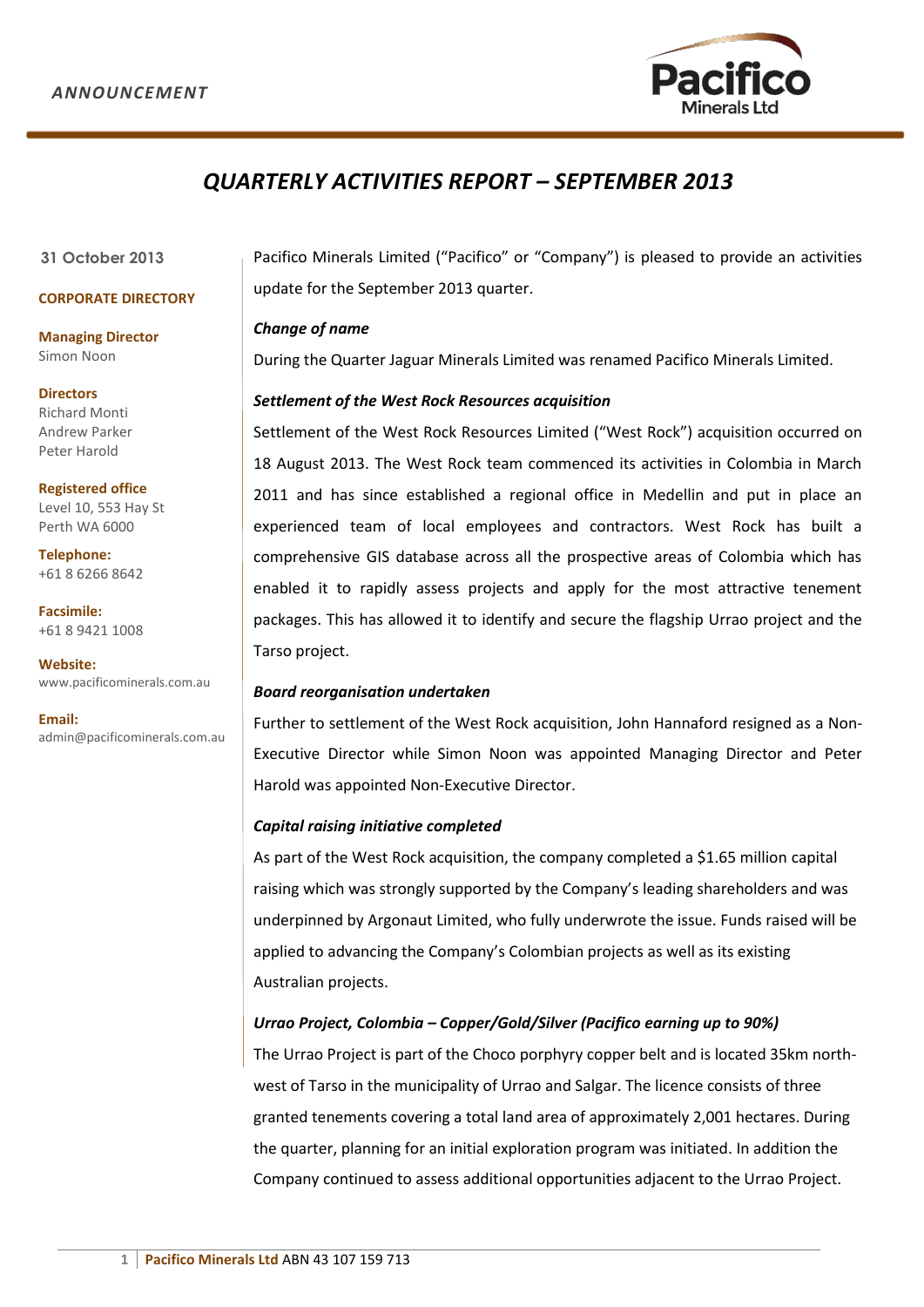

# *QUARTERLY ACTIVITIES REPORT – SEPTEMBER 2013*

### **31 October 2013**

## **CORPORATE DIRECTORY**

**Managing Director** Simon Noon

**Directors** Richard Monti Andrew Parker Peter Harold

**Registered office**  Level 10, 553 Hay St Perth WA 6000

**Telephone:** +61 8 6266 8642

**Facsimile:**  +61 8 9421 1008

**Website:**  www.pacificominerals.com.au

**Email:** admin@pacificominerals.com.au Pacifico Minerals Limited ("Pacifico" or "Company") is pleased to provide an activities update for the September 2013 quarter.

#### *Change of name*

During the Quarter Jaguar Minerals Limited was renamed Pacifico Minerals Limited.

## *Settlement of the West Rock Resources acquisition*

Settlement of the West Rock Resources Limited ("West Rock") acquisition occurred on 18 August 2013. The West Rock team commenced its activities in Colombia in March 2011 and has since established a regional office in Medellin and put in place an experienced team of local employees and contractors. West Rock has built a comprehensive GIS database across all the prospective areas of Colombia which has enabled it to rapidly assess projects and apply for the most attractive tenement packages. This has allowed it to identify and secure the flagship Urrao project and the Tarso project.

## *Board reorganisation undertaken*

Further to settlement of the West Rock acquisition, John Hannaford resigned as a Non-Executive Director while Simon Noon was appointed Managing Director and Peter Harold was appointed Non-Executive Director.

## *Capital raising initiative completed*

As part of the West Rock acquisition, the company completed a \$1.65 million capital raising which was strongly supported by the Company's leading shareholders and was underpinned by Argonaut Limited, who fully underwrote the issue. Funds raised will be applied to advancing the Company's Colombian projects as well as its existing Australian projects.

# *Urrao Project, Colombia – Copper/Gold/Silver (Pacifico earning up to 90%)*

The Urrao Project is part of the Choco porphyry copper belt and is located 35km northwest of Tarso in the municipality of Urrao and Salgar. The licence consists of three granted tenements covering a total land area of approximately 2,001 hectares. During the quarter, planning for an initial exploration program was initiated. In addition the Company continued to assess additional opportunities adjacent to the Urrao Project.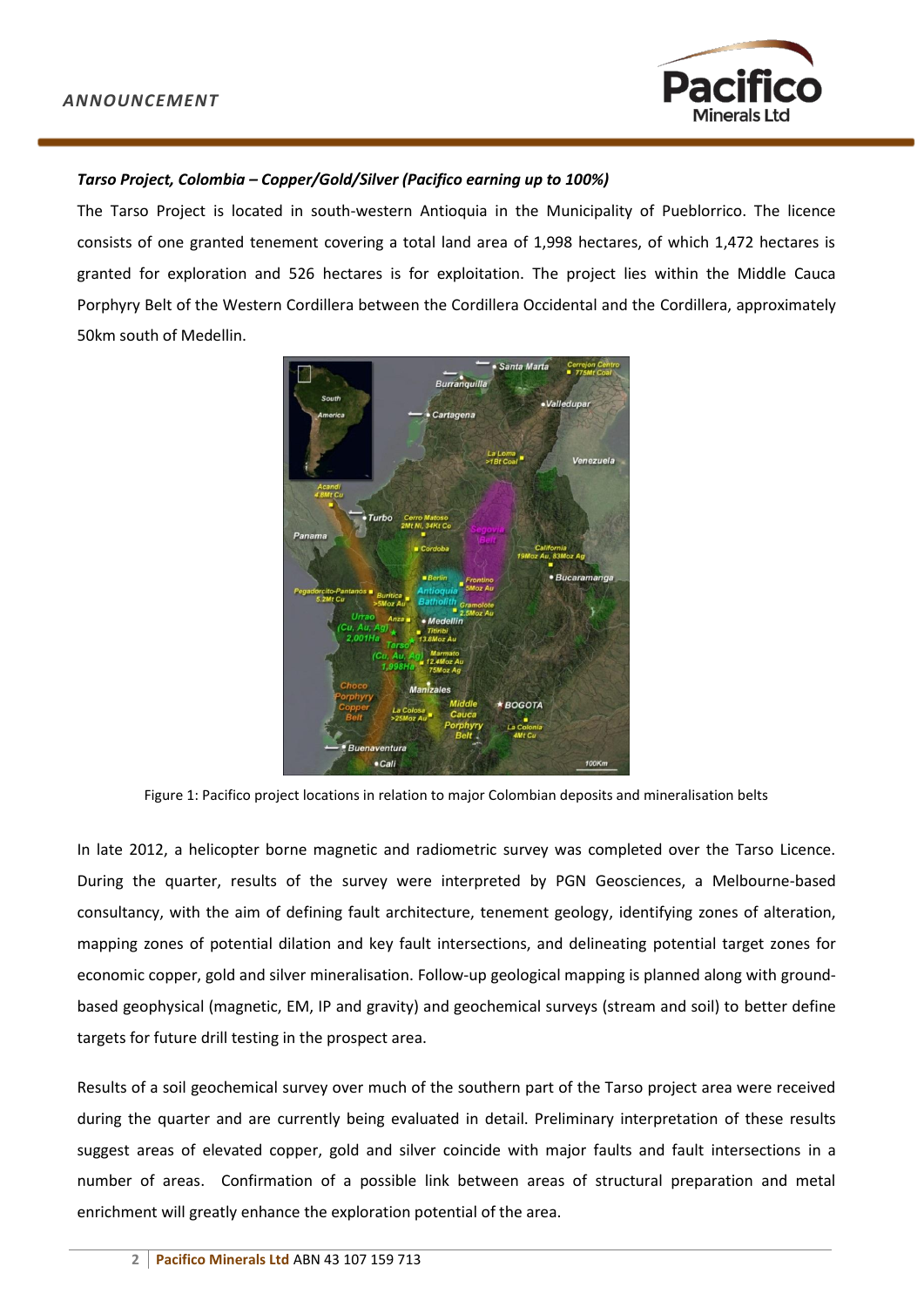

# *Tarso Project, Colombia – Copper/Gold/Silver (Pacifico earning up to 100%)*

The Tarso Project is located in south-western Antioquia in the Municipality of Pueblorrico. The licence consists of one granted tenement covering a total land area of 1,998 hectares, of which 1,472 hectares is granted for exploration and 526 hectares is for exploitation. The project lies within the Middle Cauca Porphyry Belt of the Western Cordillera between the Cordillera Occidental and the Cordillera, approximately 50km south of Medellin.



Figure 1: Pacifico project locations in relation to major Colombian deposits and mineralisation belts

In late 2012, a helicopter borne magnetic and radiometric survey was completed over the Tarso Licence. During the quarter, results of the survey were interpreted by PGN Geosciences, a Melbourne-based consultancy, with the aim of defining fault architecture, tenement geology, identifying zones of alteration, mapping zones of potential dilation and key fault intersections, and delineating potential target zones for economic copper, gold and silver mineralisation. Follow-up geological mapping is planned along with groundbased geophysical (magnetic, EM, IP and gravity) and geochemical surveys (stream and soil) to better define targets for future drill testing in the prospect area.

Results of a soil geochemical survey over much of the southern part of the Tarso project area were received during the quarter and are currently being evaluated in detail. Preliminary interpretation of these results suggest areas of elevated copper, gold and silver coincide with major faults and fault intersections in a number of areas. Confirmation of a possible link between areas of structural preparation and metal enrichment will greatly enhance the exploration potential of the area.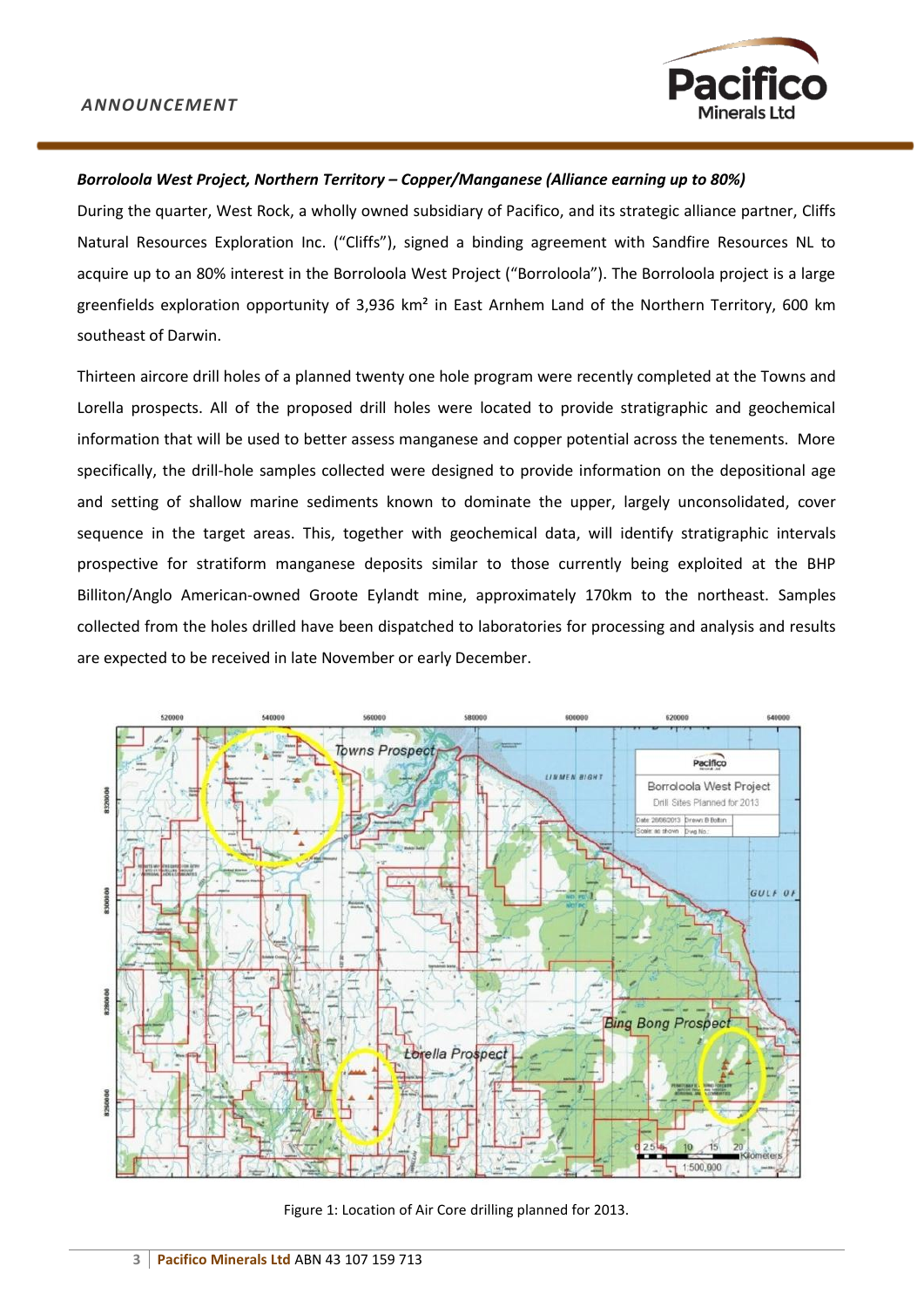

## *Borroloola West Project, Northern Territory – Copper/Manganese (Alliance earning up to 80%)*

During the quarter, West Rock, a wholly owned subsidiary of Pacifico, and its strategic alliance partner, Cliffs Natural Resources Exploration Inc. ("Cliffs"), signed a binding agreement with Sandfire Resources NL to acquire up to an 80% interest in the Borroloola West Project ("Borroloola"). The Borroloola project is a large greenfields exploration opportunity of 3,936 km² in East Arnhem Land of the Northern Territory, 600 km southeast of Darwin.

Thirteen aircore drill holes of a planned twenty one hole program were recently completed at the Towns and Lorella prospects. All of the proposed drill holes were located to provide stratigraphic and geochemical information that will be used to better assess manganese and copper potential across the tenements. More specifically, the drill-hole samples collected were designed to provide information on the depositional age and setting of shallow marine sediments known to dominate the upper, largely unconsolidated, cover sequence in the target areas. This, together with geochemical data, will identify stratigraphic intervals prospective for stratiform manganese deposits similar to those currently being exploited at the BHP Billiton/Anglo American-owned Groote Eylandt mine, approximately 170km to the northeast. Samples collected from the holes drilled have been dispatched to laboratories for processing and analysis and results are expected to be received in late November or early December.



Figure 1: Location of Air Core drilling planned for 2013.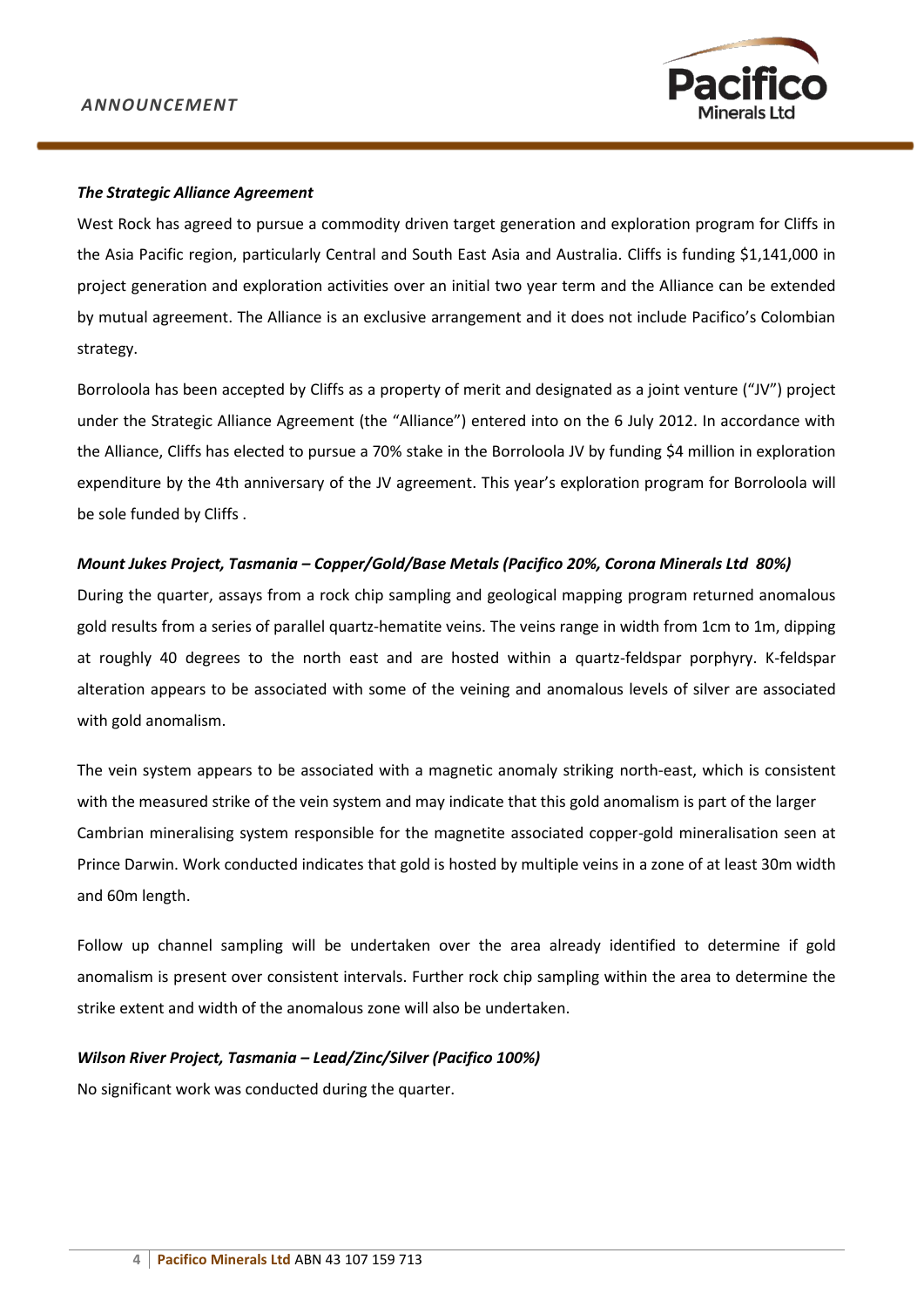

#### *The Strategic Alliance Agreement*

West Rock has agreed to pursue a commodity driven target generation and exploration program for Cliffs in the Asia Pacific region, particularly Central and South East Asia and Australia. Cliffs is funding \$1,141,000 in project generation and exploration activities over an initial two year term and the Alliance can be extended by mutual agreement. The Alliance is an exclusive arrangement and it does not include Pacifico's Colombian strategy.

Borroloola has been accepted by Cliffs as a property of merit and designated as a joint venture ("JV") project under the Strategic Alliance Agreement (the "Alliance") entered into on the 6 July 2012. In accordance with the Alliance, Cliffs has elected to pursue a 70% stake in the Borroloola JV by funding \$4 million in exploration expenditure by the 4th anniversary of the JV agreement. This year's exploration program for Borroloola will be sole funded by Cliffs .

## *Mount Jukes Project, Tasmania – Copper/Gold/Base Metals (Pacifico 20%, Corona Minerals Ltd 80%)*

During the quarter, assays from a rock chip sampling and geological mapping program returned anomalous gold results from a series of parallel quartz-hematite veins. The veins range in width from 1cm to 1m, dipping at roughly 40 degrees to the north east and are hosted within a quartz-feldspar porphyry. K-feldspar alteration appears to be associated with some of the veining and anomalous levels of silver are associated with gold anomalism.

The vein system appears to be associated with a magnetic anomaly striking north-east, which is consistent with the measured strike of the vein system and may indicate that this gold anomalism is part of the larger Cambrian mineralising system responsible for the magnetite associated copper-gold mineralisation seen at Prince Darwin. Work conducted indicates that gold is hosted by multiple veins in a zone of at least 30m width and 60m length.

Follow up channel sampling will be undertaken over the area already identified to determine if gold anomalism is present over consistent intervals. Further rock chip sampling within the area to determine the strike extent and width of the anomalous zone will also be undertaken.

#### *Wilson River Project, Tasmania – Lead/Zinc/Silver (Pacifico 100%)*

No significant work was conducted during the quarter.